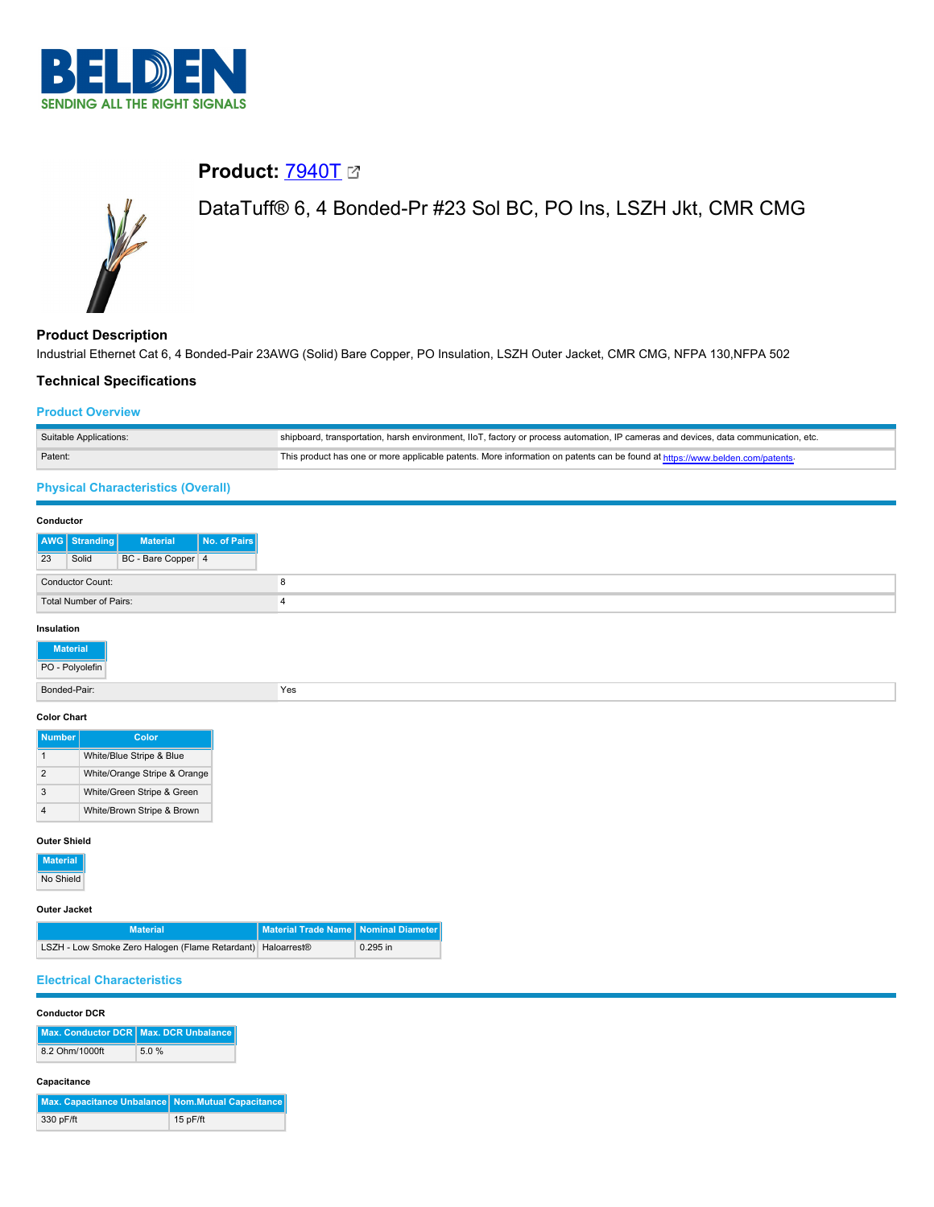

# **Product: [7940T](https://catalog.belden.com/index.cfm?event=pd&p=PF_7940T&tab=downloads) 2**



# DataTuff® 6, 4 Bonded-Pr #23 Sol BC, PO Ins, LSZH Jkt, CMR CMG

**Product Description** Industrial Ethernet Cat 6, 4 Bonded-Pair 23AWG (Solid) Bare Copper, PO Insulation, LSZH Outer Jacket, CMR CMG, NFPA 130,NFPA 502

## **Technical Specifications**

#### **Product Overview**

| Suitable Applications: | shipboard, transportation, harsh environment, IIoT, factory or process automation, IP cameras and devices, data communication, etc. |
|------------------------|-------------------------------------------------------------------------------------------------------------------------------------|
| Patent:                | This product has one or more applicable patents. More information on patents can be found at https://www.belden.com/patents-        |

# **Physical Characteristics (Overall)**

#### **Conductor**

|    | AWG Stranding           | <b>Material</b>    | No. of Pairs |
|----|-------------------------|--------------------|--------------|
| 23 | Solid                   | BC - Bare Copper 4 |              |
|    | <b>Conductor Count:</b> |                    |              |
|    | Total Number of Pairs:  |                    |              |

# **Insulation**

| <b>Material</b><br>PO - Polyolefin |     |  |
|------------------------------------|-----|--|
| Bonded-Pair:                       | Yes |  |
| <b>Color Chart</b>                 |     |  |

| <b>Number</b> | Color                        |
|---------------|------------------------------|
|               | White/Blue Stripe & Blue     |
| 2             | White/Orange Stripe & Orange |
| 3             | White/Green Stripe & Green   |
|               | White/Brown Stripe & Brown   |

#### **Outer Shield**

| <b>Material</b> |
|-----------------|
| No Shield       |

#### **Outer Jacket**

| <b>Material</b>                                             | Material Trade Name   Nominal Diameter |          |
|-------------------------------------------------------------|----------------------------------------|----------|
| LSZH - Low Smoke Zero Halogen (Flame Retardant) Haloarrest® |                                        | 0.295 in |

# **Electrical Characteristics**

#### **Conductor DCR**

|                | Max. Conductor DCR Max. DCR Unbalance |
|----------------|---------------------------------------|
| 8.2 Ohm/1000ft | 5.0%                                  |

#### **Capacitance**

| Max. Capacitance Unbalance Nom.Mutual Capacitance |            |
|---------------------------------------------------|------------|
| 330 pF/ft                                         | $15p$ F/ft |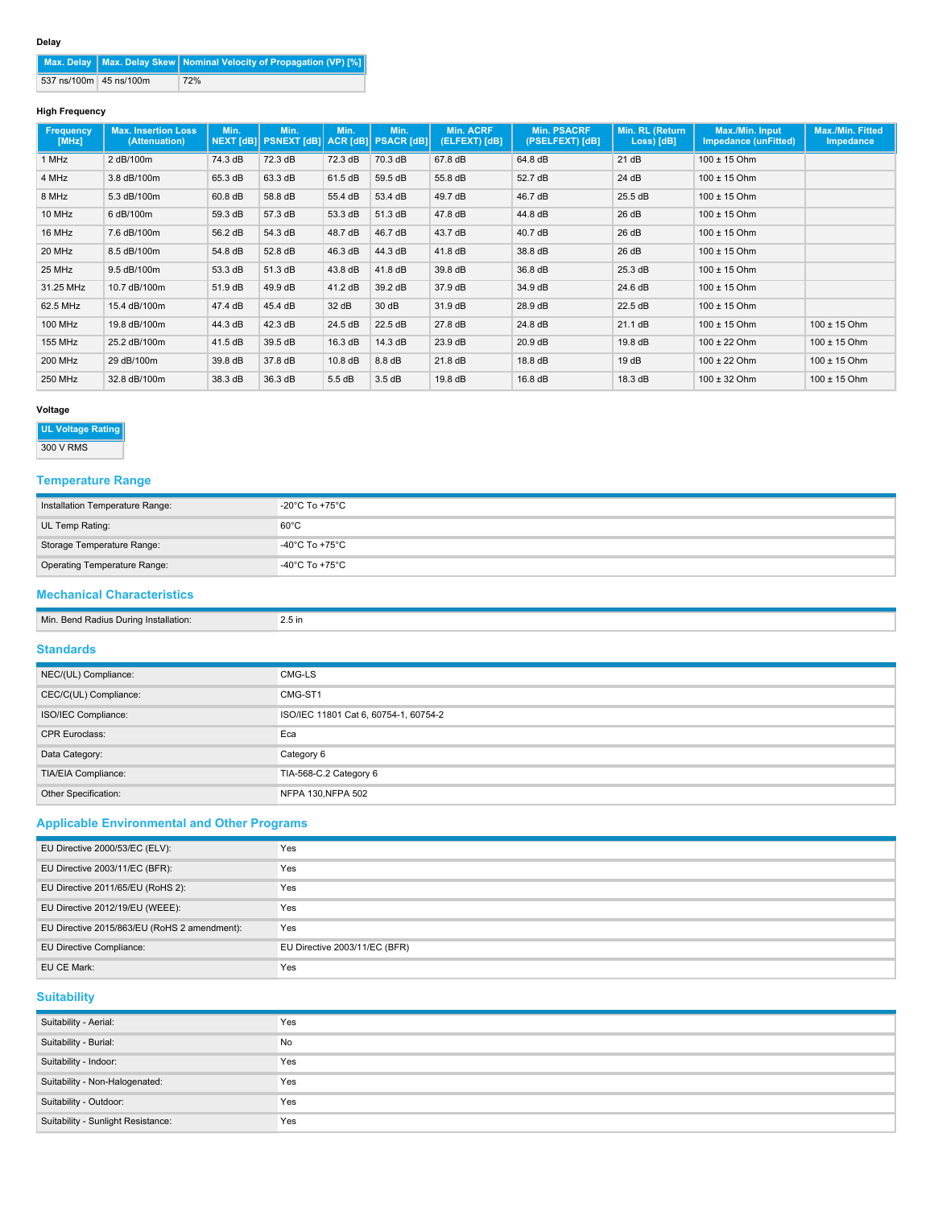| . .<br>. .<br>×<br>۰, |
|-----------------------|
|-----------------------|

|                        | Max. Delay   Max. Delay Skew   Nominal Velocity of Propagation (VP) [%] |
|------------------------|-------------------------------------------------------------------------|
| 537 ns/100m 45 ns/100m | 72%                                                                     |

#### **High Frequency**

| Frequency<br>[MHz] | <b>Max. Insertion Loss</b><br>(Attenuation) | Min.    | Min.<br>NEXT [dB] PSNEXT [dB] ACR [dB] PSACR [dB] | Min.    | Min.                | <b>Min. ACRF</b><br>(ELFEXT) [dB] | <b>Min. PSACRF</b><br>(PSELFEXT) [dB] | Min. RL (Return<br>Loss) [dB] | Max./Min. Input<br><b>Impedance (unFitted)</b> | Max./Min. Fitted<br>Impedance |
|--------------------|---------------------------------------------|---------|---------------------------------------------------|---------|---------------------|-----------------------------------|---------------------------------------|-------------------------------|------------------------------------------------|-------------------------------|
| 1 MHz              | 2 dB/100m                                   | 74.3 dB | 72.3 dB                                           | 72.3 dB | 70.3 dB             | 67.8 dB                           | 64.8 dB                               | 21 dB                         | $100 \pm 15$ Ohm                               |                               |
| 4 MHz              | 3.8 dB/100m                                 | 65.3 dB | 63.3 dB                                           | 61.5 dB | 59.5 dB             | 55.8 dB                           | 52.7 dB                               | 24 dB                         | $100 \pm 15$ Ohm                               |                               |
| 8 MHz              | 5.3 dB/100m                                 | 60.8 dB | 58.8 dB                                           | 55.4 dB | 53.4 dB             | 49.7 dB                           | 46.7 dB                               | 25.5 dB                       | $100 \pm 15$ Ohm                               |                               |
| 10 MHz             | 6 dB/100m                                   | 59.3 dB | 57.3 dB                                           | 53.3 dB | 51.3 dB             | 47.8 dB                           | 44.8 dB                               | 26 dB                         | $100 \pm 15$ Ohm                               |                               |
| 16 MHz             | 7.6 dB/100m                                 | 56.2 dB | 54.3 dB                                           | 48.7 dB | 46.7 dB             | 43.7 dB                           | 40.7 dB                               | 26 dB                         | $100 \pm 15$ Ohm                               |                               |
| 20 MHz             | 8.5 dB/100m                                 | 54.8 dB | 52.8 dB                                           | 46.3 dB | 44.3 dB             | 41.8 dB                           | 38.8 dB                               | 26 dB                         | $100 \pm 15$ Ohm                               |                               |
| 25 MHz             | 9.5 dB/100m                                 | 53.3 dB | 51.3 dB                                           | 43.8 dB | $41.8\,\mathrm{dB}$ | 39.8 dB                           | 36.8 dB                               | 25.3 dB                       | $100 \pm 15$ Ohm                               |                               |
| 31.25 MHz          | 10.7 dB/100m                                | 51.9 dB | 49.9 dB                                           | 41.2 dB | 39.2 dB             | 37.9 dB                           | 34.9 dB                               | 24.6 dB                       | $100 \pm 15$ Ohm                               |                               |
| 62.5 MHz           | 15.4 dB/100m                                | 47.4 dB | 45.4 dB                                           | 32 dB   | 30 dB               | 31.9 dB                           | 28.9 dB                               | 22.5 dB                       | $100 \pm 15$ Ohm                               |                               |
| 100 MHz            | 19.8 dB/100m                                | 44.3 dB | 42.3 dB                                           | 24.5 dB | 22.5 dB             | 27.8 dB                           | 24.8 dB                               | 21.1 dB                       | $100 \pm 15$ Ohm                               | $100 \pm 15$ Ohm              |
| 155 MHz            | 25.2 dB/100m                                | 41.5 dB | 39.5 dB                                           | 16.3 dB | 14.3 dB             | 23.9 dB                           | 20.9 dB                               | 19.8 dB                       | $100 \pm 22$ Ohm                               | $100 \pm 15$ Ohm              |
| 200 MHz            | 29 dB/100m                                  | 39.8 dB | 37.8 dB                                           | 10.8 dB | 8.8 dB              | 21.8 dB                           | 18.8 dB                               | 19dB                          | $100 \pm 22$ Ohm                               | $100 \pm 15$ Ohm              |
| 250 MHz            | 32.8 dB/100m                                | 38.3 dB | 36.3 dB                                           | 5.5dB   | 3.5 dB              | 19.8 dB                           | 16.8 dB                               | 18.3 dB                       | $100 \pm 32$ Ohm                               | $100 \pm 15$ Ohm              |

#### **Voltage**

# **UL Voltage Rating**

300 V RMS

# **Temperature Range**

| Installation Temperature Range: | -20 $^{\circ}$ C To +75 $^{\circ}$ C |
|---------------------------------|--------------------------------------|
| UL Temp Rating:                 | $60^{\circ}$ C                       |
| Storage Temperature Range:      | -40°C To +75°C                       |
| Operating Temperature Range:    | -40°C To +75°C                       |

# **Mechanical Characteristics**

| Min. Bend Radius During Installation: | $2.5$ in |
|---------------------------------------|----------|
| Standards                             |          |

| NEC/(UL) Compliance:  | CMG-LS                                |
|-----------------------|---------------------------------------|
| CEC/C(UL) Compliance: | CMG-ST1                               |
| ISO/IEC Compliance:   | ISO/IEC 11801 Cat 6, 60754-1, 60754-2 |
| <b>CPR Euroclass:</b> | Eca                                   |
| Data Category:        | Category 6                            |
| TIA/EIA Compliance:   | TIA-568-C.2 Category 6                |
| Other Specification:  | NFPA 130, NFPA 502                    |

# **Applicable Environmental and Other Programs**

| EU Directive 2000/53/EC (ELV):               | Yes                           |
|----------------------------------------------|-------------------------------|
| EU Directive 2003/11/EC (BFR):               | Yes                           |
| EU Directive 2011/65/EU (RoHS 2):            | Yes                           |
| EU Directive 2012/19/EU (WEEE):              | Yes                           |
| EU Directive 2015/863/EU (RoHS 2 amendment): | Yes                           |
| EU Directive Compliance:                     | EU Directive 2003/11/EC (BFR) |
| EU CE Mark:                                  | Yes                           |

# **Suitability**

| Suitability - Aerial:              | Yes |
|------------------------------------|-----|
| Suitability - Burial:              | No  |
| Suitability - Indoor:              | Yes |
| Suitability - Non-Halogenated:     | Yes |
| Suitability - Outdoor:             | Yes |
| Suitability - Sunlight Resistance: | Yes |